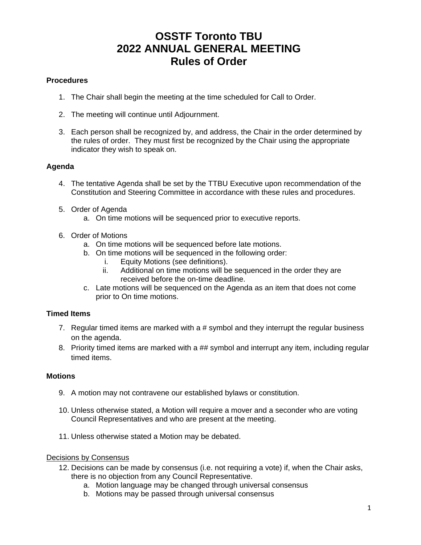## **OSSTF Toronto TBU 2022 ANNUAL GENERAL MEETING Rules of Order**

#### **Procedures**

- 1. The Chair shall begin the meeting at the time scheduled for Call to Order.
- 2. The meeting will continue until Adjournment.
- 3. Each person shall be recognized by, and address, the Chair in the order determined by the rules of order. They must first be recognized by the Chair using the appropriate indicator they wish to speak on.

## **Agenda**

- 4. The tentative Agenda shall be set by the TTBU Executive upon recommendation of the Constitution and Steering Committee in accordance with these rules and procedures.
- 5. Order of Agenda
	- a. On time motions will be sequenced prior to executive reports.
- 6. Order of Motions
	- a. On time motions will be sequenced before late motions.
	- b. On time motions will be sequenced in the following order:
		- i. Equity Motions (see definitions).
		- ii. Additional on time motions will be sequenced in the order they are received before the on-time deadline.
	- c. Late motions will be sequenced on the Agenda as an item that does not come prior to On time motions.

## **Timed Items**

- 7. Regular timed items are marked with a # symbol and they interrupt the regular business on the agenda.
- 8. Priority timed items are marked with a ## symbol and interrupt any item, including regular timed items.

#### **Motions**

- 9. A motion may not contravene our established bylaws or constitution.
- 10. Unless otherwise stated, a Motion will require a mover and a seconder who are voting Council Representatives and who are present at the meeting.
- 11. Unless otherwise stated a Motion may be debated.

#### Decisions by Consensus

- 12. Decisions can be made by consensus (i.e. not requiring a vote) if, when the Chair asks, there is no objection from any Council Representative.
	- a. Motion language may be changed through universal consensus
	- b. Motions may be passed through universal consensus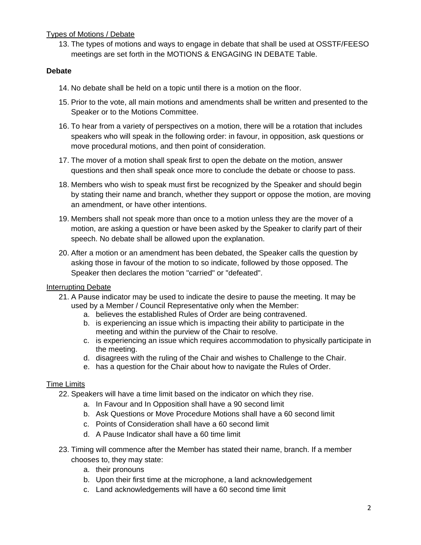## Types of Motions / Debate

13. The types of motions and ways to engage in debate that shall be used at OSSTF/FEESO meetings are set forth in the MOTIONS & ENGAGING IN DEBATE Table.

## **Debate**

- 14. No debate shall be held on a topic until there is a motion on the floor.
- 15. Prior to the vote, all main motions and amendments shall be written and presented to the Speaker or to the Motions Committee.
- 16. To hear from a variety of perspectives on a motion, there will be a rotation that includes speakers who will speak in the following order: in favour, in opposition, ask questions or move procedural motions, and then point of consideration.
- 17. The mover of a motion shall speak first to open the debate on the motion, answer questions and then shall speak once more to conclude the debate or choose to pass.
- 18. Members who wish to speak must first be recognized by the Speaker and should begin by stating their name and branch, whether they support or oppose the motion, are moving an amendment, or have other intentions.
- 19. Members shall not speak more than once to a motion unless they are the mover of a motion, are asking a question or have been asked by the Speaker to clarify part of their speech. No debate shall be allowed upon the explanation.
- 20. After a motion or an amendment has been debated, the Speaker calls the question by asking those in favour of the motion to so indicate, followed by those opposed. The Speaker then declares the motion "carried" or "defeated".

#### Interrupting Debate

- 21. A Pause indicator may be used to indicate the desire to pause the meeting. It may be used by a Member / Council Representative only when the Member:
	- a. believes the established Rules of Order are being contravened.
	- b. is experiencing an issue which is impacting their ability to participate in the meeting and within the purview of the Chair to resolve.
	- c. is experiencing an issue which requires accommodation to physically participate in the meeting.
	- d. disagrees with the ruling of the Chair and wishes to Challenge to the Chair.
	- e. has a question for the Chair about how to navigate the Rules of Order.

#### Time Limits

- 22. Speakers will have a time limit based on the indicator on which they rise.
	- a. In Favour and In Opposition shall have a 90 second limit
	- b. Ask Questions or Move Procedure Motions shall have a 60 second limit
	- c. Points of Consideration shall have a 60 second limit
	- d. A Pause Indicator shall have a 60 time limit
- 23. Timing will commence after the Member has stated their name, branch. If a member chooses to, they may state:
	- a. their pronouns
	- b. Upon their first time at the microphone, a land acknowledgement
	- c. Land acknowledgements will have a 60 second time limit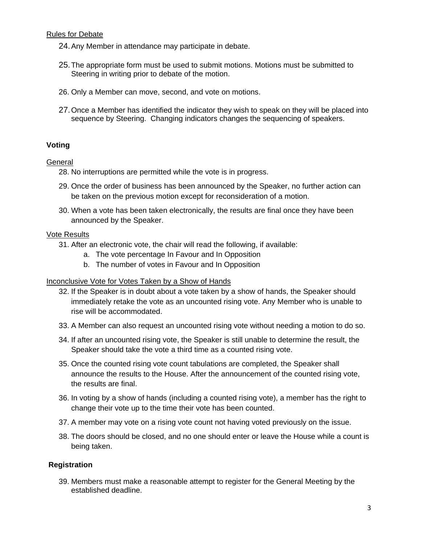#### Rules for Debate

- 24.Any Member in attendance may participate in debate.
- 25.The appropriate form must be used to submit motions. Motions must be submitted to Steering in writing prior to debate of the motion.
- 26. Only a Member can move, second, and vote on motions.
- 27.Once a Member has identified the indicator they wish to speak on they will be placed into sequence by Steering. Changing indicators changes the sequencing of speakers.

## **Voting**

#### **General**

- 28. No interruptions are permitted while the vote is in progress.
- 29. Once the order of business has been announced by the Speaker, no further action can be taken on the previous motion except for reconsideration of a motion.
- 30. When a vote has been taken electronically, the results are final once they have been announced by the Speaker.

#### Vote Results

- 31. After an electronic vote, the chair will read the following, if available:
	- a. The vote percentage In Favour and In Opposition
	- b. The number of votes in Favour and In Opposition

#### Inconclusive Vote for Votes Taken by a Show of Hands

- 32. If the Speaker is in doubt about a vote taken by a show of hands, the Speaker should immediately retake the vote as an uncounted rising vote. Any Member who is unable to rise will be accommodated.
- 33. A Member can also request an uncounted rising vote without needing a motion to do so.
- 34. If after an uncounted rising vote, the Speaker is still unable to determine the result, the Speaker should take the vote a third time as a counted rising vote.
- 35. Once the counted rising vote count tabulations are completed, the Speaker shall announce the results to the House. After the announcement of the counted rising vote, the results are final.
- 36. In voting by a show of hands (including a counted rising vote), a member has the right to change their vote up to the time their vote has been counted.
- 37. A member may vote on a rising vote count not having voted previously on the issue.
- 38. The doors should be closed, and no one should enter or leave the House while a count is being taken.

#### **Registration**

39. Members must make a reasonable attempt to register for the General Meeting by the established deadline.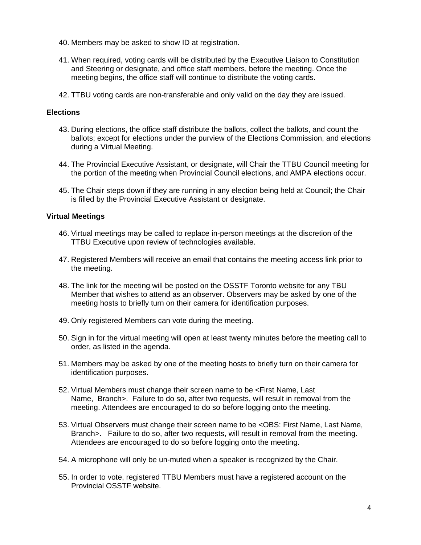- 40. Members may be asked to show ID at registration.
- 41. When required, voting cards will be distributed by the Executive Liaison to Constitution and Steering or designate, and office staff members, before the meeting. Once the meeting begins, the office staff will continue to distribute the voting cards.
- 42. TTBU voting cards are non-transferable and only valid on the day they are issued.

#### **Elections**

- 43. During elections, the office staff distribute the ballots, collect the ballots, and count the ballots; except for elections under the purview of the Elections Commission, and elections during a Virtual Meeting.
- 44. The Provincial Executive Assistant, or designate, will Chair the TTBU Council meeting for the portion of the meeting when Provincial Council elections, and AMPA elections occur.
- 45. The Chair steps down if they are running in any election being held at Council; the Chair is filled by the Provincial Executive Assistant or designate.

#### **Virtual Meetings**

- 46. Virtual meetings may be called to replace in-person meetings at the discretion of the TTBU Executive upon review of technologies available.
- 47. Registered Members will receive an email that contains the meeting access link prior to the meeting.
- 48. The link for the meeting will be posted on the OSSTF Toronto website for any TBU Member that wishes to attend as an observer. Observers may be asked by one of the meeting hosts to briefly turn on their camera for identification purposes.
- 49. Only registered Members can vote during the meeting.
- 50. Sign in for the virtual meeting will open at least twenty minutes before the meeting call to order, as listed in the agenda.
- 51. Members may be asked by one of the meeting hosts to briefly turn on their camera for identification purposes.
- 52. Virtual Members must change their screen name to be <First Name, Last Name, Branch >. Failure to do so, after two requests, will result in removal from the meeting. Attendees are encouraged to do so before logging onto the meeting.
- 53. Virtual Observers must change their screen name to be <OBS: First Name, Last Name, Branch>. Failure to do so, after two requests, will result in removal from the meeting. Attendees are encouraged to do so before logging onto the meeting.
- 54. A microphone will only be un-muted when a speaker is recognized by the Chair.
- 55. In order to vote, registered TTBU Members must have a registered account on the Provincial OSSTF website.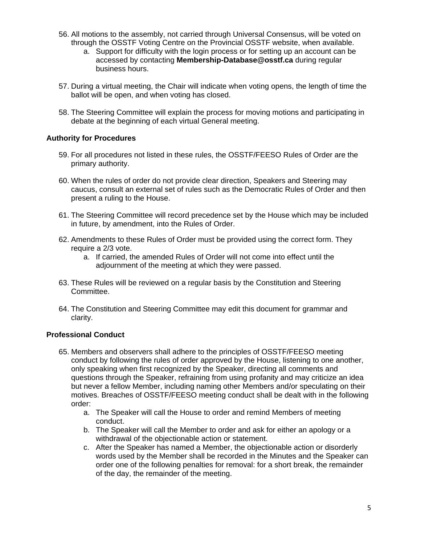- 56. All motions to the assembly, not carried through Universal Consensus, will be voted on through the OSSTF Voting Centre on the Provincial OSSTF website, when available.
	- a. Support for difficulty with the login process or for setting up an account can be accessed by contacting **Membership-Database@osstf.ca** during regular business hours.
- 57. During a virtual meeting, the Chair will indicate when voting opens, the length of time the ballot will be open, and when voting has closed.
- 58. The Steering Committee will explain the process for moving motions and participating in debate at the beginning of each virtual General meeting.

## **Authority for Procedures**

- 59. For all procedures not listed in these rules, the OSSTF/FEESO Rules of Order are the primary authority.
- 60. When the rules of order do not provide clear direction, Speakers and Steering may caucus, consult an external set of rules such as the Democratic Rules of Order and then present a ruling to the House.
- 61. The Steering Committee will record precedence set by the House which may be included in future, by amendment, into the Rules of Order.
- 62. Amendments to these Rules of Order must be provided using the correct form. They require a 2/3 vote.
	- a. If carried, the amended Rules of Order will not come into effect until the adjournment of the meeting at which they were passed.
- 63. These Rules will be reviewed on a regular basis by the Constitution and Steering Committee.
- 64. The Constitution and Steering Committee may edit this document for grammar and clarity.

## **Professional Conduct**

- 65. Members and observers shall adhere to the principles of OSSTF/FEESO meeting conduct by following the rules of order approved by the House, listening to one another, only speaking when first recognized by the Speaker, directing all comments and questions through the Speaker, refraining from using profanity and may criticize an idea but never a fellow Member, including naming other Members and/or speculating on their motives. Breaches of OSSTF/FEESO meeting conduct shall be dealt with in the following order:
	- a. The Speaker will call the House to order and remind Members of meeting conduct.
	- b. The Speaker will call the Member to order and ask for either an apology or a withdrawal of the objectionable action or statement.
	- c. After the Speaker has named a Member, the objectionable action or disorderly words used by the Member shall be recorded in the Minutes and the Speaker can order one of the following penalties for removal: for a short break, the remainder of the day, the remainder of the meeting.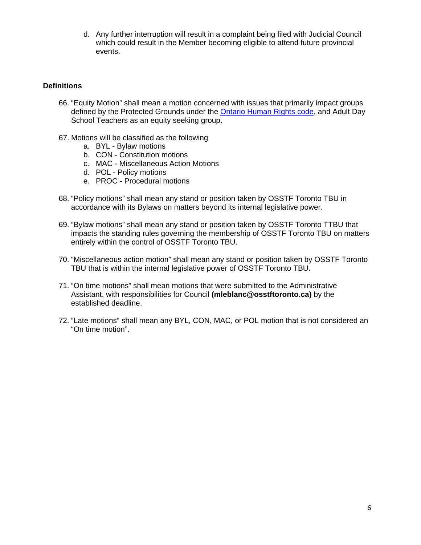d. Any further interruption will result in a complaint being filed with Judicial Council which could result in the Member becoming eligible to attend future provincial events.

#### **Definitions**

- 66. "Equity Motion" shall mean a motion concerned with issues that primarily impact groups defined by the Protected Grounds under the [Ontario Human Rights code,](http://www.ohrc.on.ca/en/ontario-human-rights-code) and Adult Day School Teachers as an equity seeking group.
- 67. Motions will be classified as the following
	- a. BYL Bylaw motions
	- b. CON Constitution motions
	- c. MAC Miscellaneous Action Motions
	- d. POL Policy motions
	- e. PROC Procedural motions
- 68. "Policy motions" shall mean any stand or position taken by OSSTF Toronto TBU in accordance with its Bylaws on matters beyond its internal legislative power.
- 69. "Bylaw motions" shall mean any stand or position taken by OSSTF Toronto TTBU that impacts the standing rules governing the membership of OSSTF Toronto TBU on matters entirely within the control of OSSTF Toronto TBU.
- 70. "Miscellaneous action motion" shall mean any stand or position taken by OSSTF Toronto TBU that is within the internal legislative power of OSSTF Toronto TBU.
- 71. "On time motions" shall mean motions that were submitted to the Administrative Assistant, with responsibilities for Council **(mleblanc@osstftoronto.ca)** by the established deadline.
- 72. "Late motions" shall mean any BYL, CON, MAC, or POL motion that is not considered an "On time motion".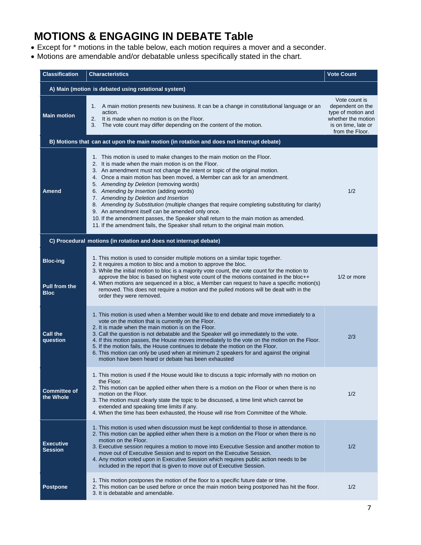# **MOTIONS & ENGAGING IN DEBATE Table**

- Except for \* motions in the table below, each motion requires a mover and a seconder.
- Motions are amendable and/or debatable unless specifically stated in the chart.

| <b>Classification</b>                               | <b>Characteristics</b>                                                                                                                                                                                                                                                                                                                                                                                                                                                                                                                                                                                                                                                                                                                                        | <b>Vote Count</b>                                                                                                       |  |  |
|-----------------------------------------------------|---------------------------------------------------------------------------------------------------------------------------------------------------------------------------------------------------------------------------------------------------------------------------------------------------------------------------------------------------------------------------------------------------------------------------------------------------------------------------------------------------------------------------------------------------------------------------------------------------------------------------------------------------------------------------------------------------------------------------------------------------------------|-------------------------------------------------------------------------------------------------------------------------|--|--|
| A) Main (motion is debated using rotational system) |                                                                                                                                                                                                                                                                                                                                                                                                                                                                                                                                                                                                                                                                                                                                                               |                                                                                                                         |  |  |
| <b>Main motion</b>                                  | 1. A main motion presents new business. It can be a change in constitutional language or an<br>action.<br>2. It is made when no motion is on the Floor.<br>The vote count may differ depending on the content of the motion.<br>3.                                                                                                                                                                                                                                                                                                                                                                                                                                                                                                                            | Vote count is<br>dependent on the<br>type of motion and<br>whether the motion<br>is on time, late or<br>from the Floor. |  |  |
|                                                     | B) Motions that can act upon the main motion (in rotation and does not interrupt debate)                                                                                                                                                                                                                                                                                                                                                                                                                                                                                                                                                                                                                                                                      |                                                                                                                         |  |  |
| Amend                                               | 1. This motion is used to make changes to the main motion on the Floor.<br>2. It is made when the main motion is on the Floor.<br>3. An amendment must not change the intent or topic of the original motion.<br>4. Once a main motion has been moved, a Member can ask for an amendment.<br>5. Amending by Deletion (removing words)<br>6. Amending by Insertion (adding words)<br>7. Amending by Deletion and Insertion<br>8. Amending by Substitution (multiple changes that require completing substituting for clarity)<br>9. An amendment itself can be amended only once.<br>10. If the amendment passes, the Speaker shall return to the main motion as amended.<br>11. If the amendment fails, the Speaker shall return to the original main motion. | 1/2                                                                                                                     |  |  |
|                                                     | C) Procedural motions (in rotation and does not interrupt debate)                                                                                                                                                                                                                                                                                                                                                                                                                                                                                                                                                                                                                                                                                             |                                                                                                                         |  |  |
| <b>Bloc-ing</b><br>Pull from the<br><b>Bloc</b>     | 1. This motion is used to consider multiple motions on a similar topic together.<br>2. It requires a motion to bloc and a motion to approve the bloc.<br>3. While the initial motion to bloc is a majority vote count, the vote count for the motion to<br>approve the bloc is based on highest vote count of the motions contained in the bloc++<br>4. When motions are sequenced in a bloc, a Member can request to have a specific motion(s)<br>removed. This does not require a motion and the pulled motions will be dealt with in the<br>order they were removed.                                                                                                                                                                                       | $1/2$ or more                                                                                                           |  |  |
| <b>Call the</b><br>question                         | 1. This motion is used when a Member would like to end debate and move immediately to a<br>vote on the motion that is currently on the Floor.<br>2. It is made when the main motion is on the Floor.<br>3. Call the question is not debatable and the Speaker will go immediately to the vote.<br>4. If this motion passes, the House moves immediately to the vote on the motion on the Floor.<br>5. If the motion fails, the House continues to debate the motion on the Floor.<br>6. This motion can only be used when at minimum 2 speakers for and against the original<br>motion have been heard or debate has been exhausted                                                                                                                           | 2/3                                                                                                                     |  |  |
| <b>Committee of</b><br>the Whole                    | 1. This motion is used if the House would like to discuss a topic informally with no motion on<br>the Floor.<br>2. This motion can be applied either when there is a motion on the Floor or when there is no<br>motion on the Floor.<br>3. The motion must clearly state the topic to be discussed, a time limit which cannot be<br>extended and speaking time limits if any.<br>4. When the time has been exhausted, the House will rise from Committee of the Whole.                                                                                                                                                                                                                                                                                        | 1/2                                                                                                                     |  |  |
| <b>Executive</b><br><b>Session</b>                  | 1. This motion is used when discussion must be kept confidential to those in attendance.<br>2. This motion can be applied either when there is a motion on the Floor or when there is no<br>motion on the Floor.<br>3. Executive session requires a motion to move into Executive Session and another motion to<br>move out of Executive Session and to report on the Executive Session.<br>4. Any motion voted upon in Executive Session which requires public action needs to be<br>included in the report that is given to move out of Executive Session.                                                                                                                                                                                                  | 1/2                                                                                                                     |  |  |
| <b>Postpone</b>                                     | 1. This motion postpones the motion of the floor to a specific future date or time.<br>2. This motion can be used before or once the main motion being postponed has hit the floor.<br>3. It is debatable and amendable.                                                                                                                                                                                                                                                                                                                                                                                                                                                                                                                                      | 1/2                                                                                                                     |  |  |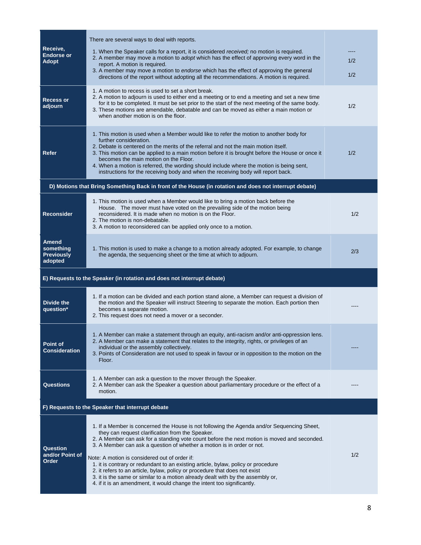| Receive,<br><b>Endorse or</b><br>Adopt                                 | There are several ways to deal with reports.<br>1. When the Speaker calls for a report, it is considered received; no motion is required.<br>2. A member may move a motion to adopt which has the effect of approving every word in the<br>report. A motion is required.<br>3. A member may move a motion to endorse which has the effect of approving the general<br>directions of the report without adopting all the recommendations. A motion is required.                                                                                                                                                                                                                                            | 1/2<br>1/2 |  |
|------------------------------------------------------------------------|-----------------------------------------------------------------------------------------------------------------------------------------------------------------------------------------------------------------------------------------------------------------------------------------------------------------------------------------------------------------------------------------------------------------------------------------------------------------------------------------------------------------------------------------------------------------------------------------------------------------------------------------------------------------------------------------------------------|------------|--|
| <b>Recess or</b><br>adjourn                                            | 1. A motion to recess is used to set a short break.<br>2. A motion to adjourn is used to either end a meeting or to end a meeting and set a new time<br>for it to be completed. It must be set prior to the start of the next meeting of the same body.<br>3. These motions are amendable, debatable and can be moved as either a main motion or<br>when another motion is on the floor.                                                                                                                                                                                                                                                                                                                  | 1/2        |  |
| Refer                                                                  | 1. This motion is used when a Member would like to refer the motion to another body for<br>further consideration.<br>2. Debate is centered on the merits of the referral and not the main motion itself.<br>3. This motion can be applied to a main motion before it is brought before the House or once it<br>becomes the main motion on the Floor.<br>4. When a motion is referred, the wording should include where the motion is being sent,<br>instructions for the receiving body and when the receiving body will report back.                                                                                                                                                                     | 1/2        |  |
|                                                                        | D) Motions that Bring Something Back in front of the House (in rotation and does not interrupt debate)                                                                                                                                                                                                                                                                                                                                                                                                                                                                                                                                                                                                    |            |  |
| <b>Reconsider</b>                                                      | 1. This motion is used when a Member would like to bring a motion back before the<br>House. The mover must have voted on the prevailing side of the motion being<br>reconsidered. It is made when no motion is on the Floor.<br>2. The motion is non-debatable.<br>3. A motion to reconsidered can be applied only once to a motion.                                                                                                                                                                                                                                                                                                                                                                      | 1/2        |  |
| Amend<br>something<br><b>Previously</b><br>adopted                     | 1. This motion is used to make a change to a motion already adopted. For example, to change<br>the agenda, the sequencing sheet or the time at which to adjourn.                                                                                                                                                                                                                                                                                                                                                                                                                                                                                                                                          | 2/3        |  |
| E) Requests to the Speaker (in rotation and does not interrupt debate) |                                                                                                                                                                                                                                                                                                                                                                                                                                                                                                                                                                                                                                                                                                           |            |  |
| <b>Divide the</b><br>question*                                         | 1. If a motion can be divided and each portion stand alone, a Member can request a division of<br>the motion and the Speaker will instruct Steering to separate the motion. Each portion then<br>becomes a separate motion.<br>2. This request does not need a mover or a seconder.                                                                                                                                                                                                                                                                                                                                                                                                                       |            |  |
| Point of<br><b>Consideration</b>                                       | 1. A Member can make a statement through an equity, anti-racism and/or anti-oppression lens.<br>2. A Member can make a statement that relates to the integrity, rights, or privileges of an<br>individual or the assembly collectively.<br>3. Points of Consideration are not used to speak in favour or in opposition to the motion on the<br>Floor.                                                                                                                                                                                                                                                                                                                                                     |            |  |
| <b>Questions</b>                                                       | 1. A Member can ask a question to the mover through the Speaker.<br>2. A Member can ask the Speaker a question about parliamentary procedure or the effect of a<br>motion.                                                                                                                                                                                                                                                                                                                                                                                                                                                                                                                                |            |  |
| F) Requests to the Speaker that interrupt debate                       |                                                                                                                                                                                                                                                                                                                                                                                                                                                                                                                                                                                                                                                                                                           |            |  |
| Question<br>and/or Point of<br>Order                                   | 1. If a Member is concerned the House is not following the Agenda and/or Sequencing Sheet,<br>they can request clarification from the Speaker.<br>2. A Member can ask for a standing vote count before the next motion is moved and seconded.<br>3. A Member can ask a question of whether a motion is in order or not.<br>Note: A motion is considered out of order if:<br>1. it is contrary or redundant to an existing article, bylaw, policy or procedure<br>2. it refers to an article, bylaw, policy or procedure that does not exist<br>3. it is the same or similar to a motion already dealt with by the assembly or,<br>4. if it is an amendment, it would change the intent too significantly. | 1/2        |  |